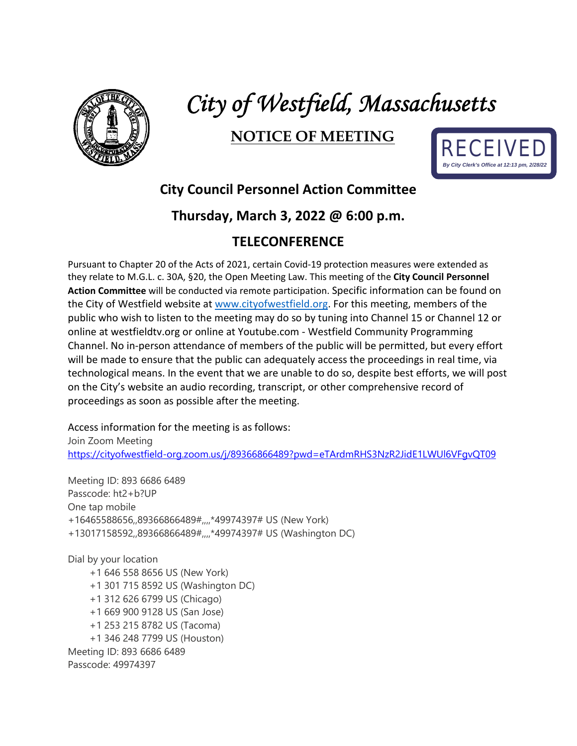

# *City of Westfield, Massachusetts*

## **NOTICE OF MEETING**



## **City Council Personnel Action Committee**

### **Thursday, March 3, 2022 @ 6:00 p.m.**

### **TELECONFERENCE**

Pursuant to Chapter 20 of the Acts of 2021, certain Covid-19 protection measures were extended as they relate to M.G.L. c. 30A, §20, the Open Meeting Law. This meeting of the **City Council Personnel Action Committee** will be conducted via remote participation. Specific information can be found on the City of Westfield website at [www.cityofwestfield.org.](http://www.cityofwestfield.org/) For this meeting, members of the public who wish to listen to the meeting may do so by tuning into Channel 15 or Channel 12 or online at westfieldtv.org or online at Youtube.com - Westfield Community Programming Channel. No in-person attendance of members of the public will be permitted, but every effort will be made to ensure that the public can adequately access the proceedings in real time, via technological means. In the event that we are unable to do so, despite best efforts, we will post on the City's website an audio recording, transcript, or other comprehensive record of proceedings as soon as possible after the meeting.

Access information for the meeting is as follows: Join Zoom Meeting <https://cityofwestfield-org.zoom.us/j/89366866489?pwd=eTArdmRHS3NzR2JidE1LWUl6VFgvQT09>

Meeting ID: 893 6686 6489 Passcode: ht2+b?UP One tap mobile +16465588656,,89366866489#,,,,\*49974397# US (New York) +13017158592,,89366866489#,,,,\*49974397# US (Washington DC)

Dial by your location +1 646 558 8656 US (New York) +1 301 715 8592 US (Washington DC) +1 312 626 6799 US (Chicago) +1 669 900 9128 US (San Jose) +1 253 215 8782 US (Tacoma) +1 346 248 7799 US (Houston) Meeting ID: 893 6686 6489 Passcode: 49974397